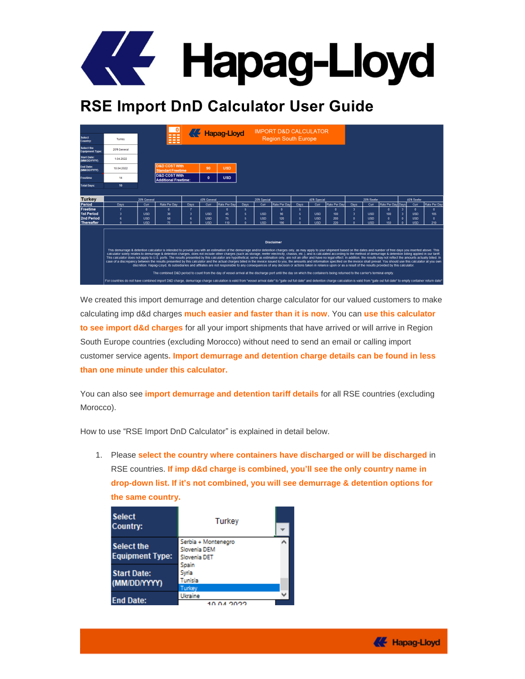

## **RSE Import DnD Calculator User Guide**

|                  |              | $\mathbf 0$                            |      |                                                                                                                 |              |                            |                            |              |                                   |               |                            |                                                |             |     |                                                                                                                                                                              |                                                              |                                                                                                                                                                                                                                                                                                                                                                                                                                                                                                                                                                                                                                                                                                                                                                                                                                                                                                                                                                                                                                                                                                                                                                                     |
|------------------|--------------|----------------------------------------|------|-----------------------------------------------------------------------------------------------------------------|--------------|----------------------------|----------------------------|--------------|-----------------------------------|---------------|----------------------------|------------------------------------------------|-------------|-----|------------------------------------------------------------------------------------------------------------------------------------------------------------------------------|--------------------------------------------------------------|-------------------------------------------------------------------------------------------------------------------------------------------------------------------------------------------------------------------------------------------------------------------------------------------------------------------------------------------------------------------------------------------------------------------------------------------------------------------------------------------------------------------------------------------------------------------------------------------------------------------------------------------------------------------------------------------------------------------------------------------------------------------------------------------------------------------------------------------------------------------------------------------------------------------------------------------------------------------------------------------------------------------------------------------------------------------------------------------------------------------------------------------------------------------------------------|
| Turkey           |              | ---<br>---<br>---                      |      |                                                                                                                 |              |                            |                            |              |                                   |               |                            |                                                |             |     |                                                                                                                                                                              |                                                              |                                                                                                                                                                                                                                                                                                                                                                                                                                                                                                                                                                                                                                                                                                                                                                                                                                                                                                                                                                                                                                                                                                                                                                                     |
| 2011 General     |              |                                        |      |                                                                                                                 |              |                            |                            |              |                                   |               |                            |                                                |             |     |                                                                                                                                                                              |                                                              |                                                                                                                                                                                                                                                                                                                                                                                                                                                                                                                                                                                                                                                                                                                                                                                                                                                                                                                                                                                                                                                                                                                                                                                     |
| 1.04.2022        |              |                                        |      |                                                                                                                 |              |                            |                            |              |                                   |               |                            |                                                |             |     |                                                                                                                                                                              |                                                              |                                                                                                                                                                                                                                                                                                                                                                                                                                                                                                                                                                                                                                                                                                                                                                                                                                                                                                                                                                                                                                                                                                                                                                                     |
| 10.04.2022       |              |                                        |      | 90                                                                                                              | <b>USD</b>   |                            |                            |              |                                   |               |                            |                                                |             |     |                                                                                                                                                                              |                                                              |                                                                                                                                                                                                                                                                                                                                                                                                                                                                                                                                                                                                                                                                                                                                                                                                                                                                                                                                                                                                                                                                                                                                                                                     |
| 14               |              |                                        |      | $\mathbf{0}$                                                                                                    | <b>USD</b>   |                            |                            |              |                                   |               |                            |                                                |             |     |                                                                                                                                                                              |                                                              |                                                                                                                                                                                                                                                                                                                                                                                                                                                                                                                                                                                                                                                                                                                                                                                                                                                                                                                                                                                                                                                                                                                                                                                     |
| 10 <sub>10</sub> |              |                                        |      |                                                                                                                 |              |                            |                            |              |                                   |               |                            |                                                |             |     |                                                                                                                                                                              |                                                              |                                                                                                                                                                                                                                                                                                                                                                                                                                                                                                                                                                                                                                                                                                                                                                                                                                                                                                                                                                                                                                                                                                                                                                                     |
|                  |              |                                        |      |                                                                                                                 |              |                            |                            |              |                                   |               |                            |                                                |             |     |                                                                                                                                                                              |                                                              |                                                                                                                                                                                                                                                                                                                                                                                                                                                                                                                                                                                                                                                                                                                                                                                                                                                                                                                                                                                                                                                                                                                                                                                     |
|                  |              |                                        |      |                                                                                                                 |              |                            | 20'ft Special              |              |                                   | 40'ft Special |                            |                                                | 20ft Reefer |     |                                                                                                                                                                              |                                                              |                                                                                                                                                                                                                                                                                                                                                                                                                                                                                                                                                                                                                                                                                                                                                                                                                                                                                                                                                                                                                                                                                                                                                                                     |
| Days             | Curr         | Rate Per Day                           | Days | Curr                                                                                                            | Rate Per Day | Days                       | Curr                       |              | <b>Davs</b>                       | Curr          | Rate Per Dav               | Days                                           | Curr        |     |                                                                                                                                                                              | Curr                                                         | Rate Per Day                                                                                                                                                                                                                                                                                                                                                                                                                                                                                                                                                                                                                                                                                                                                                                                                                                                                                                                                                                                                                                                                                                                                                                        |
| 7                | $\mathbf{0}$ | $\mathbf{0}$                           |      |                                                                                                                 | $\mathbf{0}$ | 5                          |                            | $\mathbf{0}$ | 5                                 |               | $\mathbf{0}$               | 3                                              |             | ٥   | 3                                                                                                                                                                            | $\mathbf{0}$                                                 | $\mathbf{0}$                                                                                                                                                                                                                                                                                                                                                                                                                                                                                                                                                                                                                                                                                                                                                                                                                                                                                                                                                                                                                                                                                                                                                                        |
| $\overline{3}$   | <b>USD</b>   | 30                                     | 3    | <b>USD</b>                                                                                                      | 45.          | 5                          | <b>USD</b>                 | 90           | 5                                 | <b>USD</b>    | 100                        | $\overline{\mathbf{3}}$                        | <b>USD</b>  | 100 |                                                                                                                                                                              | <b>USD</b>                                                   | 105                                                                                                                                                                                                                                                                                                                                                                                                                                                                                                                                                                                                                                                                                                                                                                                                                                                                                                                                                                                                                                                                                                                                                                                 |
| ĥ                | <b>USD</b>   | 50                                     | ĥ    | <b>USD</b>                                                                                                      |              |                            | <b>USD</b>                 | 120          | A,                                | <b>USD</b>    |                            | $\mathbf{0}$                                   | <b>USD</b>  | o   |                                                                                                                                                                              | <b>USD</b>                                                   | $\mathbf{0}$                                                                                                                                                                                                                                                                                                                                                                                                                                                                                                                                                                                                                                                                                                                                                                                                                                                                                                                                                                                                                                                                                                                                                                        |
| $\mathbf{r}$     |              | 75                                     |      | <b>USD</b>                                                                                                      |              |                            | <b>USD</b>                 | 190          |                                   | <b>USD</b>    |                            |                                                | <b>USD</b>  | 150 |                                                                                                                                                                              |                                                              | 210                                                                                                                                                                                                                                                                                                                                                                                                                                                                                                                                                                                                                                                                                                                                                                                                                                                                                                                                                                                                                                                                                                                                                                                 |
|                  |              |                                        |      |                                                                                                                 |              |                            |                            |              |                                   |               |                            |                                                |             |     |                                                                                                                                                                              |                                                              |                                                                                                                                                                                                                                                                                                                                                                                                                                                                                                                                                                                                                                                                                                                                                                                                                                                                                                                                                                                                                                                                                                                                                                                     |
|                  |              | 20 <sup>ft</sup> General<br><b>USD</b> | ---  | <b>D&amp;D COST With</b><br><b>Standart Freetime</b><br><b>D&amp;D COST With</b><br><b>Additional Freetime:</b> |              | 40'ft General<br>75<br>110 | <b>KE Hapag-Lloyd</b><br>Á |              | Rate Per Day<br><b>Disclaimer</b> |               | <b>Region South Europe</b> | <b>IMPORT D&amp;D CALCULATOR</b><br>200<br>220 |             |     | The combined D&D period to count from the day of vessel arrival at the discharge port until the day on which the container/s being returned to the carrier's terminal empty. | Rate Per Day Days<br>$\overline{\mathbf{3}}$<br>$\mathbf{0}$ | 40'ft Reefer<br><b>USD</b><br>This demurrage & detention calculator is intended to provide you with an estimation of the demurrage and/or detention charges only, as may apply to your shipment based on the dates and number of free days you inserted abov<br>calculator solely relates to demurrage & detention charges, does not include other charges (such as storage, reefer electricity, chassis, etc.), and is calculated according to the method of demurrage & detention billing ap<br>This calculator does not apply to U.S. ports. The results presented by this calculator are hypothetical, serve as estimation only, are not an offer and have no legal effect. In addition, the results may not reflect the amo<br>case of a discrepancy between the results presented by this calculator and the actual charges billed in the invoice issued to you, the amounts and information specified on the invoice shall prevail. You should use this cal<br>discretion. Hapaq-Llovd, its subsidiaries and affiliates are not responsible to any consequences of any decision or actions taken in reliance upon or as a result of the results provided by this calculator. |

We created this import demurrage and detention charge calculator for our valued customers to make calculating imp d&d charges **much easier and faster than it is now**. You can **use this calculator to see import d&d charges** for all your import shipments that have arrived or will arrive in Region South Europe countries (excluding Morocco) without need to send an email or calling import customer service agents**. Import demurrage and detention charge details can be found in less than one minute under this calculator.**

You can also see **import demurrage and detention tariff details** for all RSE countries (excluding Morocco).

How to use "RSE Import DnD Calculator" is explained in detail below.

1. Please **select the country where containers have discharged or will be discharged** in RSE countries. **If imp d&d charge is combined, you'll see the only country name in drop-down list. If it's not combined, you will see demurrage & detention options for the same country.**

| <b>Select</b><br>Country:                   | <b>Turkey</b>                                       |  |
|---------------------------------------------|-----------------------------------------------------|--|
| <b>Select the</b><br><b>Equipment Type:</b> | Serbia + Montenegro<br>Slovenia DEM<br>Slovenia DET |  |
| <b>Start Date:</b><br>(MM/DD/YYYY)          | Spain<br>Syria<br>Tunisia<br>Turkey                 |  |
| <b>End Date:</b>                            | Ukraine<br>10.04.0000                               |  |

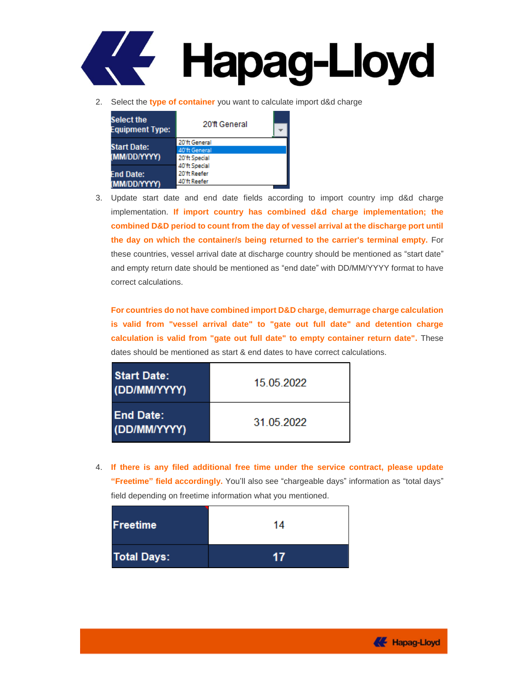

2. Select the **type of container** you want to calculate import d&d charge

| <b>Select the</b><br><b>Equipment Type:</b> | 20'ft General                                   |  |
|---------------------------------------------|-------------------------------------------------|--|
| <b>Start Date:</b><br>(MM/DD/YYYY)          | 20'ft General<br>40'ft General<br>20'ft Special |  |
| <b>End Date:</b><br>(MM/DD/YYYY)            | 40'ft Special<br>20'ft Reefer<br>40'ft Reefer   |  |

3. Update start date and end date fields according to import country imp d&d charge implementation. **If import country has combined d&d charge implementation; the combined D&D period to count from the day of vessel arrival at the discharge port until the day on which the container/s being returned to the carrier's terminal empty.** For these countries, vessel arrival date at discharge country should be mentioned as "start date" and empty return date should be mentioned as "end date" with DD/MM/YYYY format to have correct calculations.

**For countries do not have combined import D&D charge, demurrage charge calculation is valid from "vessel arrival date" to "gate out full date" and detention charge calculation is valid from "gate out full date" to empty container return date".** These dates should be mentioned as start & end dates to have correct calculations.

| <b>Start Date:</b><br>(DD/MM/YYYY) | 15.05.2022 |
|------------------------------------|------------|
| <b>End Date:</b><br>(DD/MM/YYYY)   | 31.05.2022 |

4. **If there is any filed additional free time under the service contract, please update "Freetime" field accordingly.** You'll also see "chargeable days" information as "total days" field depending on freetime information what you mentioned.

| <b>Freetime</b>    | 14 |
|--------------------|----|
| <b>Total Days:</b> |    |

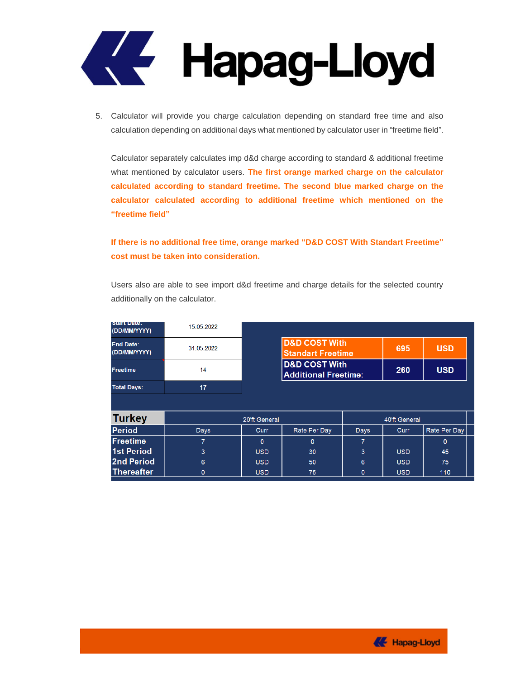

5. Calculator will provide you charge calculation depending on standard free time and also calculation depending on additional days what mentioned by calculator user in "freetime field".

Calculator separately calculates imp d&d charge according to standard & additional freetime what mentioned by calculator users. **The first orange marked charge on the calculator calculated according to standard freetime. The second blue marked charge on the calculator calculated according to additional freetime which mentioned on the "freetime field"**

**If there is no additional free time, orange marked "D&D COST With Standart Freetime" cost must be taken into consideration.**

Users also are able to see import d&d freetime and charge details for the selected country additionally on the calculator.

| <b>MELORICE</b><br>(DD/MM/YYYY)  | 15.05.2022     |               |                                                         |              |               |              |
|----------------------------------|----------------|---------------|---------------------------------------------------------|--------------|---------------|--------------|
| <b>End Date:</b><br>(DD/MM/YYYY) | 31.05.2022     |               | <b>D&amp;D COST With</b><br><b>Standart Freetime</b>    |              | 695           | <b>USD</b>   |
| <b>Freetime</b>                  | 14             |               | <b>D&amp;D COST With</b><br><b>Additional Freetime:</b> |              | 260           | <b>USD</b>   |
| <b>Total Days:</b>               | 17             |               |                                                         |              |               |              |
|                                  |                |               |                                                         |              |               |              |
| <b>Turkey</b>                    |                | 20'ft General |                                                         |              | 40'ft General |              |
| <b>Period</b>                    | <b>Days</b>    | Curr          | Rate Per Day                                            | <b>Days</b>  | <b>Curr</b>   | Rate Per Day |
| <b>Freetime</b>                  | $\overline{7}$ | $\mathbf{0}$  | $\mathbf{0}$                                            | 7            |               | $\Omega$     |
| <b>1st Period</b>                | 3              | <b>USD</b>    | 30                                                      | 3            | <b>USD</b>    | 45           |
| 2nd Period                       | 6              | <b>USD</b>    | 50                                                      | 6            | <b>USD</b>    | 75           |
| Thereafter                       | $\mathbf{0}$   | <b>USD</b>    | 75                                                      | $\mathbf{0}$ | <b>USD</b>    | 110          |